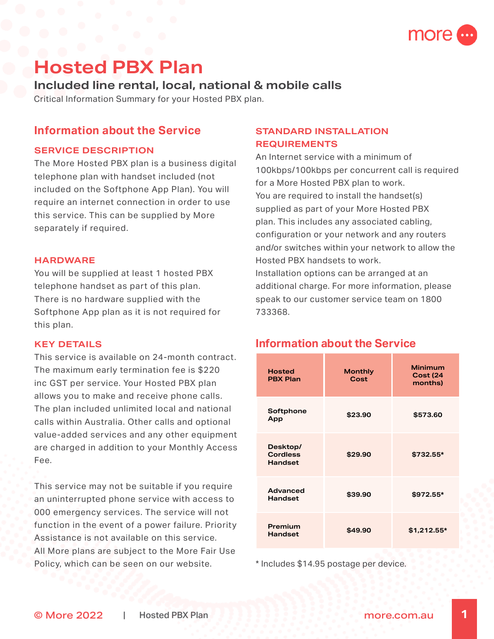

# **Hosted PBX Plan**

**Included line rental, local, national & mobile calls**

Critical Information Summary for your Hosted PBX plan.

# **Information about the Service**

## **SERVICE DESCRIPTION**

The More Hosted PBX plan is a business digital telephone plan with handset included (not included on the Softphone App Plan). You will require an internet connection in order to use this service. This can be supplied by More separately if required.

## **HARDWARE**

You will be supplied at least 1 hosted PBX telephone handset as part of this plan. There is no hardware supplied with the Softphone App plan as it is not required for this plan.

## **KEY DETAILS**

This service is available on 24-month contract. The maximum early termination fee is \$220 inc GST per service. Your Hosted PBX plan allows you to make and receive phone calls. The plan included unlimited local and national calls within Australia. Other calls and optional value-added services and any other equipment are charged in addition to your Monthly Access Fee.

This service may not be suitable if you require an uninterrupted phone service with access to 000 emergency services. The service will not function in the event of a power failure. Priority Assistance is not available on this service. All More plans are subject to the More Fair Use Policy, which can be seen on our website.

## **STANDARD INSTALLATION REQUIREMENTS**

An Internet service with a minimum of 100kbps/100kbps per concurrent call is required for a More Hosted PBX plan to work. You are required to install the handset(s) supplied as part of your More Hosted PBX plan. This includes any associated cabling, configuration or your network and any routers and/or switches within your network to allow the Hosted PBX handsets to work. Installation options can be arranged at an additional charge. For more information, please speak to our customer service team on 1800 733368.

# **Information about the Service**

| <b>Hosted</b><br><b>PBX Plan</b>              | <b>Monthly</b><br>Cost | <b>Minimum</b><br><b>Cost (24</b><br>months) |
|-----------------------------------------------|------------------------|----------------------------------------------|
| Softphone<br>App                              | \$23.90                | \$573.60                                     |
| Desktop/<br><b>Cordless</b><br><b>Handset</b> | \$29.90                | \$732.55*                                    |
| Advanced<br><b>Handset</b>                    | \$39.90                | \$972.55*                                    |
| Premium<br><b>Handset</b>                     | \$49.90                | $$1,212.55*$                                 |

\* Includes \$14.95 postage per device.